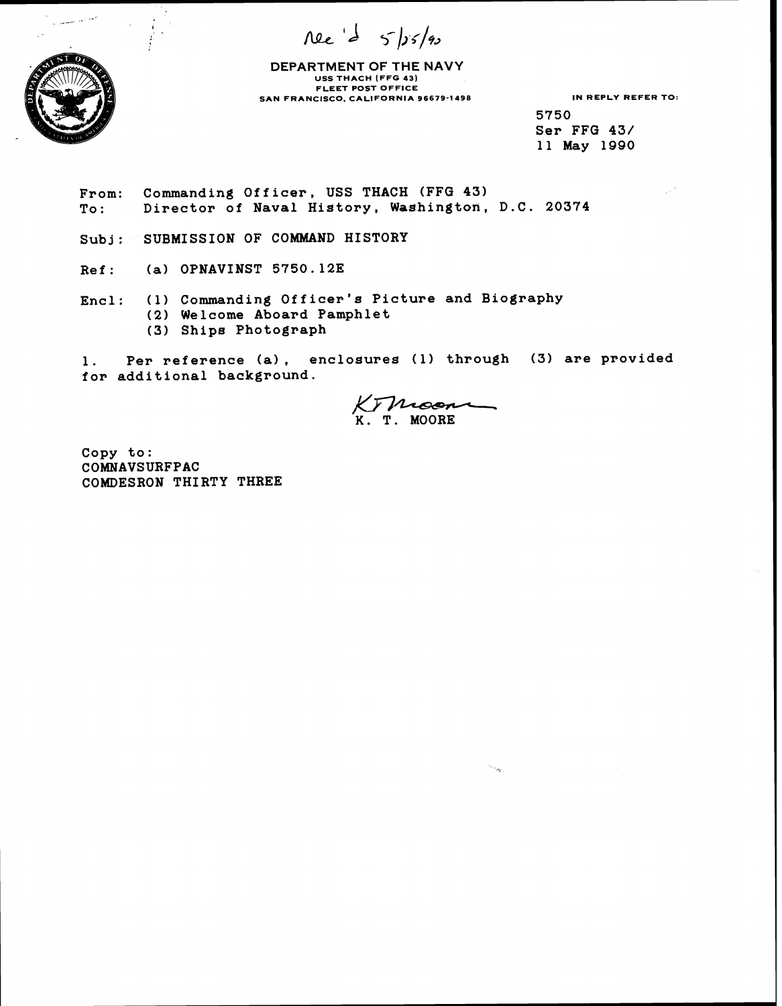nee de 5/15/90



**DEPARTMENT OF THE NAVY USS THACH (FFG 43) FLEET POST OFFICE SAN FRANCISCO. CALIFORNIA 96679-1498 IN REPLY REFER TO:** 

**5750 Ser FFG 43/ 11 May 1990** 

**From: Commanding Officer, USS THACH (FFG 43) To** : **Director of Naval History, Washington, D.C. 20374** 

**Subj: SUBMISSION OF COMMAND HISTORY** 

**Ref** : **(a) OPNAVINST 5750.12E** 

**Encl: (1) Commanding Officer's Picture and Biography (2) Welcome Aboard Pamphlet (3) Ships Photograph**  s Picture and Biography<br>hlet<br>sures (1) through (3) are<br>K. T. MOORE

**1. Per reference (a), enclosures (1) through (3) are provided for additional background.** 

 $\sim \omega_{\rm in}$ 

**Copy to: COMNAVSURFPAC COMDESRON THIRTY THREE**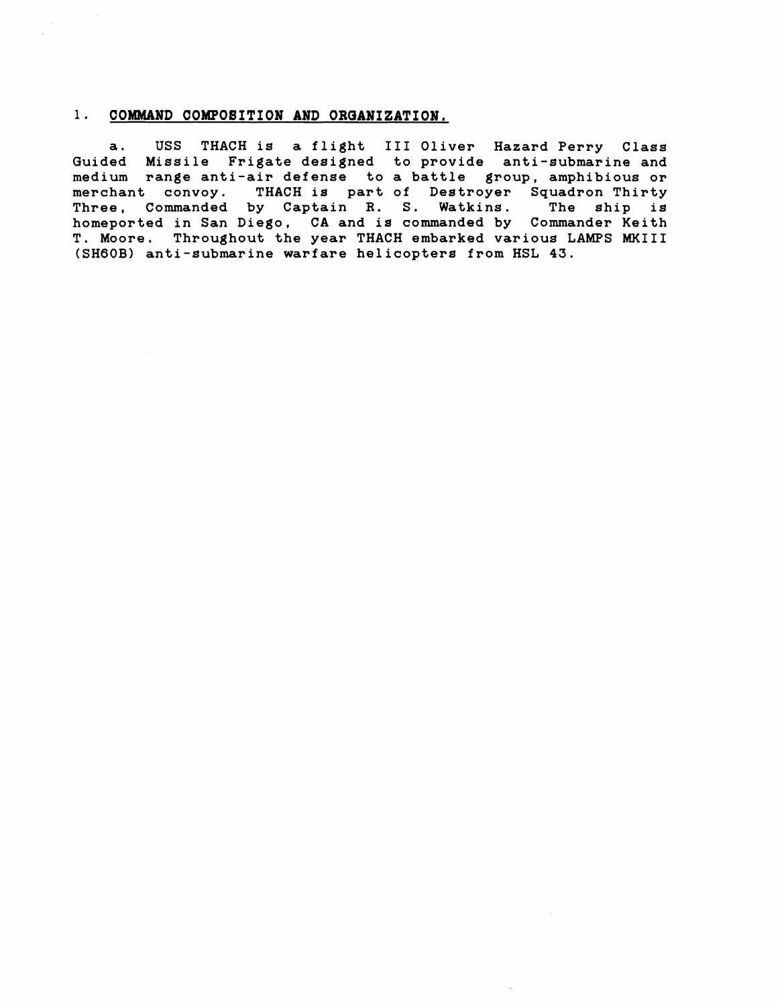#### **1. COMMAND COMPOSITION AND ORQANIZATION.**

**a. USS THACH is a flight** I11 **Oliver Hazard Perry Class Guided Missile Frigate designed to provide anti-submarine and medium range anti-air defense to a battle group, amphibious or merchant convoy. THACH is part of Destroyer Squadron Thirty Three, Commanded by Captain R. S. Watkins. The ship is homeported in San Diego, CA and is commanded by Commander Keith T. Moore. Throughout the year THACH embarked various LAMPS** MKIII **(SHGOB) anti-submarine warfare helicopters from HSL 43.**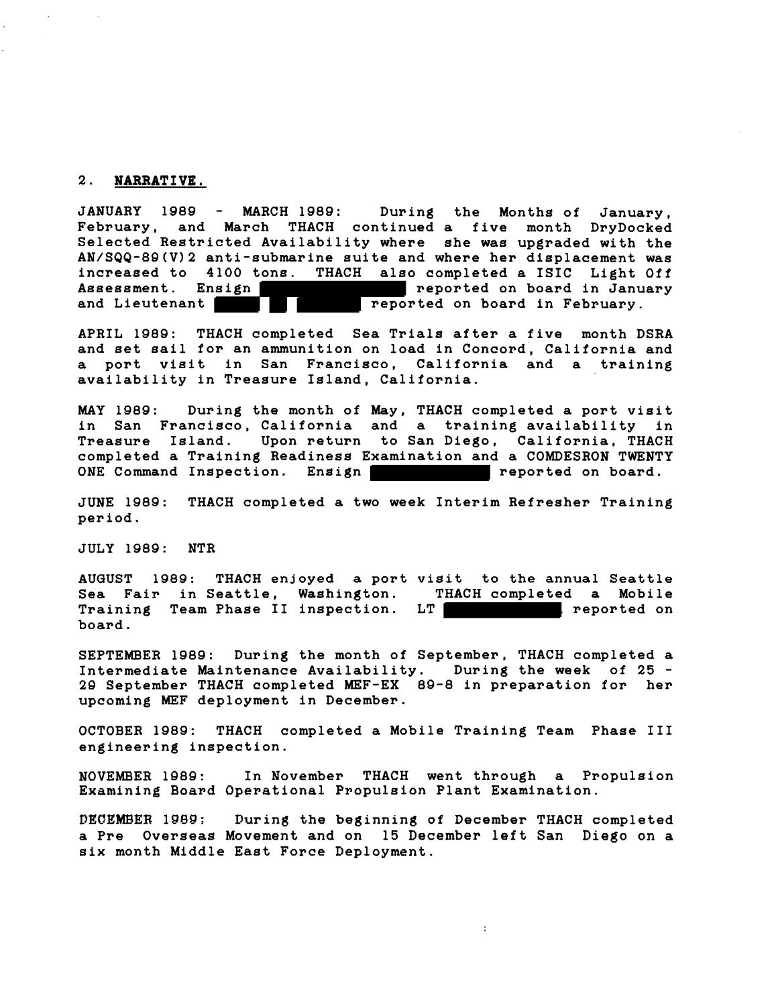#### **2. NARRATIVE.**

**JANUARY 1989** - **MARCH 1989: During the Months of January, February, and March THACH continued a five month DryDocked Selected Restricted Availability where she was upgraded with the AN/SQQ-8Q(V)2 anti-submarine suite and where her displacement was increased to 4100 tons. THACH also completed a ISIC Light Off Assessment.** Ensign **reported on board in January** and Lieutenant **Reported on board in February**. **and and reported on board in February.** 

**APRIL 1989: THACH completed Sea Trials after a five month DSRA and set sail for an ammunition on load in Concord, California and a port visit in San Francisco, California and a training availability in Treasure Island, California.** 

**MAY 1989: During the month of May, THACH completed a port visit in San Francisco, California and a training availability in Treasure Island. Upon return to San Diego, California, THACH completed a Training Readiness Examination and a COMDESRON TWENTY**  ONE Command Inspection. Ensign **reported** on board.

**JUNE 1989: THACH completed a two week Interim Refresher Training period.** 

**JULY 1989: NTR** 

**AUGUST 1989: THACH enjoyed a port visit to the annual Seattle**  Sea Fair in Seattle, Washington. T<br>Training Team Phase II inspection. LT Training Team Phase II inspection. LT **The Contract Contract Contract Contract Contract Contract Contract Contract Contract Contract Contract Contract Contract Contract Contract Contract Contract Contract Contract Contract board.** 

**SEPTEMBER 1989: During the month of September, THACH completed a Intermediate Maintenance Availability. During the week of 25** - **2g September THACH completed MEF-EX 89-8 in preparation for her upcoming MEF deployment in December.** 

**OCTOBER 1989: THACH completed a Mobile Training Team Phase I11 engineering inspection.** 

**NOVEMBER 1989** : **In November THACH went through a Propulsion Examining Board Operational Propulsion Plant Examination.** 

**DECEMBER lQBQ: During the beginning of December THACH completed a Pre Overseas Movement and on 15 December left San Diego on a six month Middle East Force Deployment.** 

 $\overline{\mathcal{L}}$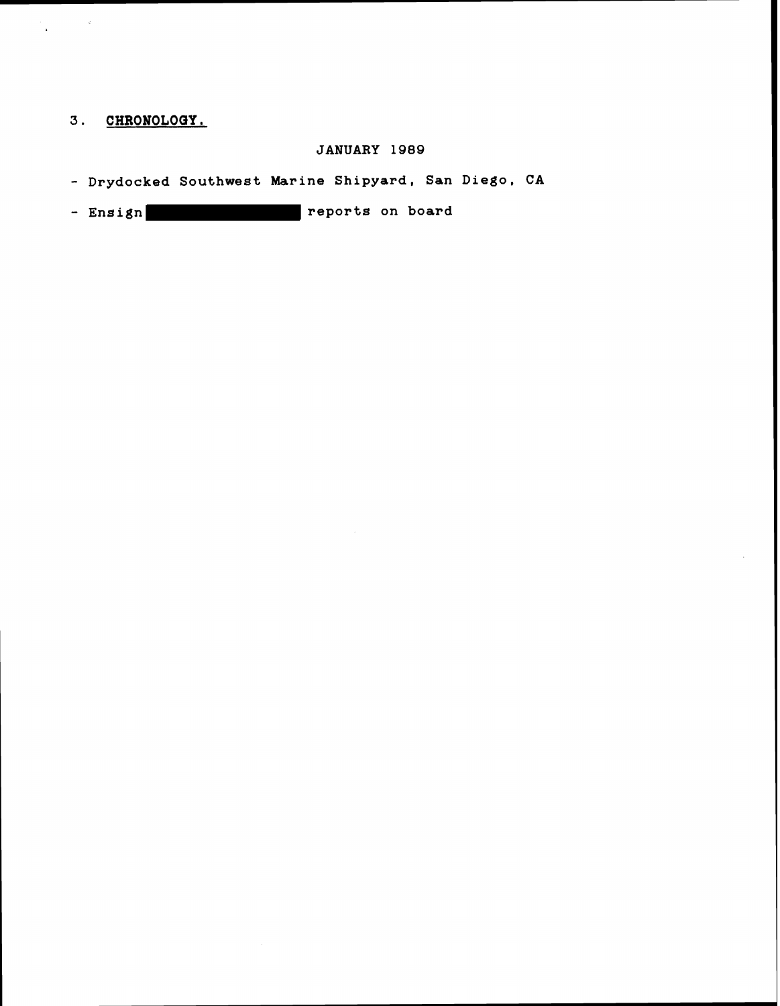# **3. CHRONOLOQY.**

 $\frac{1}{\Delta} \left( \frac{1}{\Delta} \right) = \frac{1}{\Delta} \left( \frac{1}{\Delta} \right)$ 

 $\sim$   $\sim$ 

## **JANUARY 1989**

- **Drydocked Southwest Marine Shipyard, San Diego, CA** 

- **Ensign reports on board**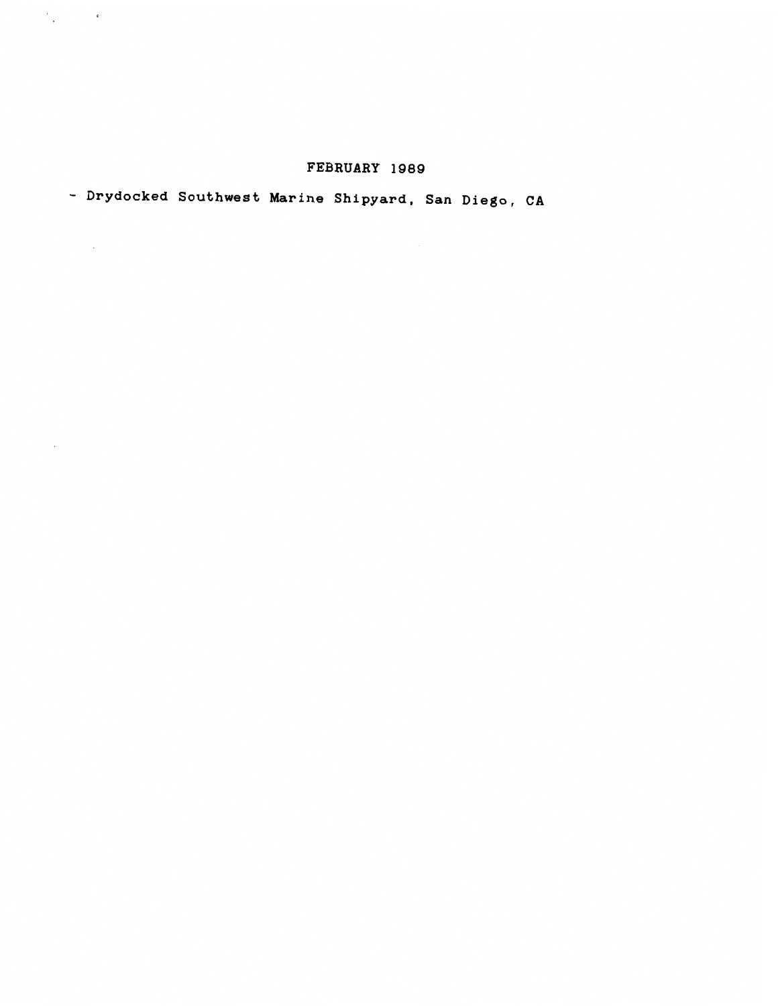# **FEBRUARY 1989**

# - **Drydocked Southwest Marine Shipyard, San Diego, CA**

 $\mathcal{O}_{\mathcal{A}}(\mathcal{O}_{\mathcal{A}})$  and  $\mathcal{O}_{\mathcal{A}}$ 

 $\sim 10^{-1}$ 

 $\sim 10^{-10}$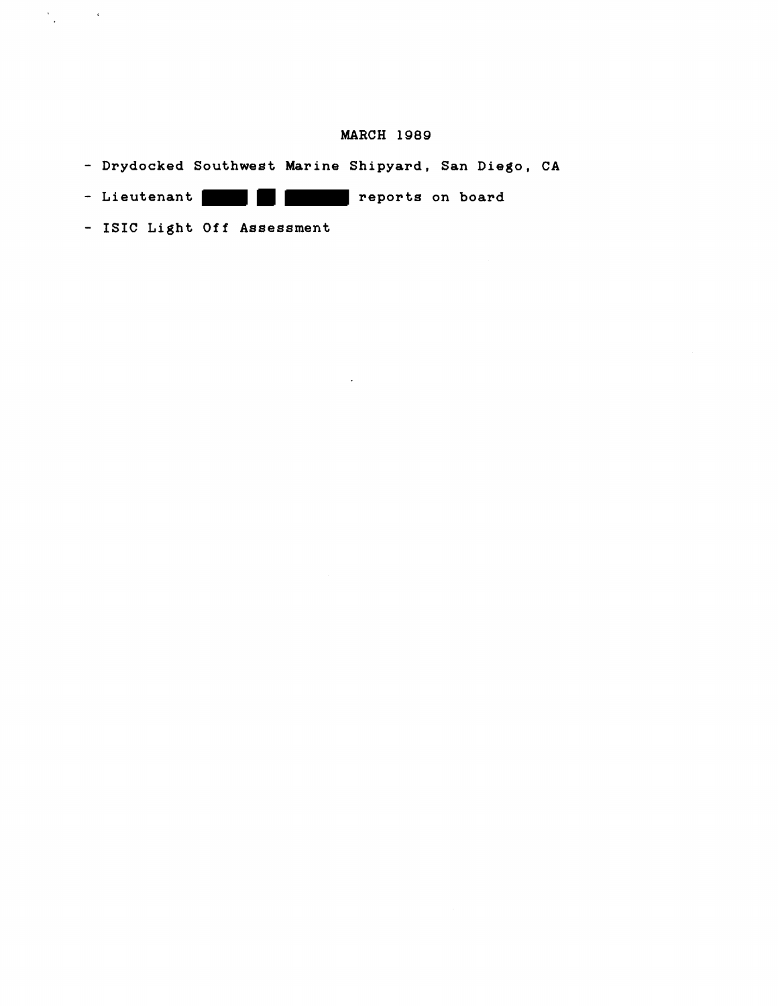## **MARCH 1989**

- **Drydocked Southwest Marine Shipyard, San Diego, CA**
- Lieutenant **Reports on board**
- **ISIC Light Off Assessment**

 $\label{eq:1} \frac{\partial \mathcal{L}_{\text{max}}}{\partial \mathcal{L}_{\text{max}}}\left( \mathcal{L}_{\text{max}}\right) = \mathcal{L}_{\text{max}}$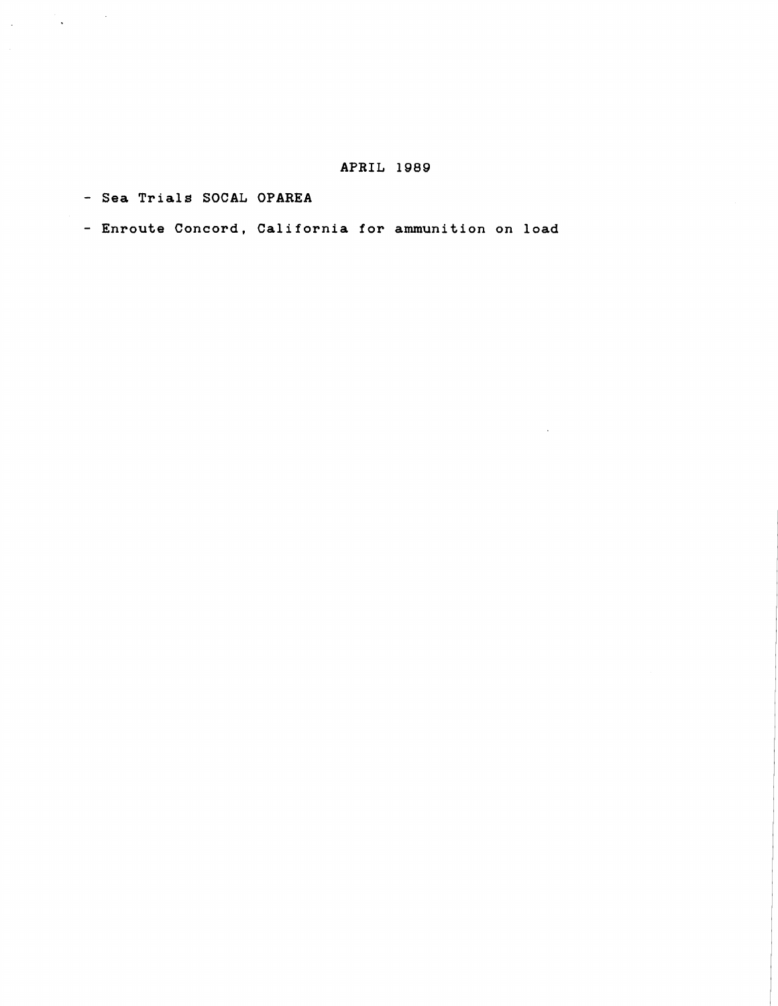#### **APRIL 1989**

- **Sea Trials SOCAL OPAREA** 

 $\label{eq:2.1} \frac{1}{2}\int_{\mathbb{R}^3}\frac{1}{\sqrt{2\pi}}\left(\frac{1}{2}\int_{\mathbb{R}^3}\frac{1}{\sqrt{2\pi}}\right)^2\frac{1}{2\sqrt{2\pi}}\int_{\mathbb{R}^3}\frac{1}{\sqrt{2\pi}}\frac{1}{\sqrt{2\pi}}\frac{1}{2\sqrt{2\pi}}\frac{1}{2\sqrt{2\pi}}\frac{1}{2\sqrt{2\pi}}\frac{1}{2\sqrt{2\pi}}\frac{1}{2\sqrt{2\pi}}\frac{1}{2\sqrt{2\pi}}\frac{1}{2\sqrt{2\pi}}\frac{1}{2\sqrt$ 

- **Enroute Concord, California for ammunition on load**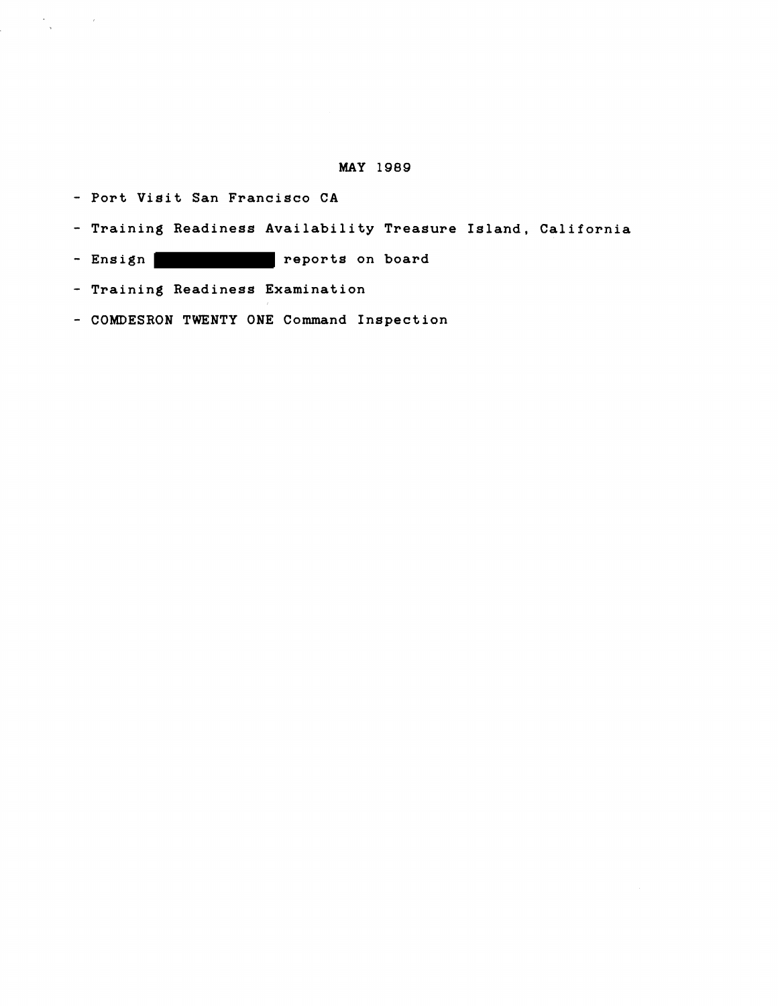#### **MAY 1989**

- **Port Visit San Francisco CA** 

 $\label{eq:2.1} \begin{array}{ccccc} \mathbf{A} & & & & & \\ & \mathbf{A} & & & & \\ & \mathbf{A} & & & & \\ & \mathbf{A} & & & & \\ \end{array}$ 

- **Training Readiness Availability Treasure Island, California**
- Ensign **and Series** reports on board
- **Training Readiness Examination**
- **COMDESRON TWENTY ONE Command Inspection**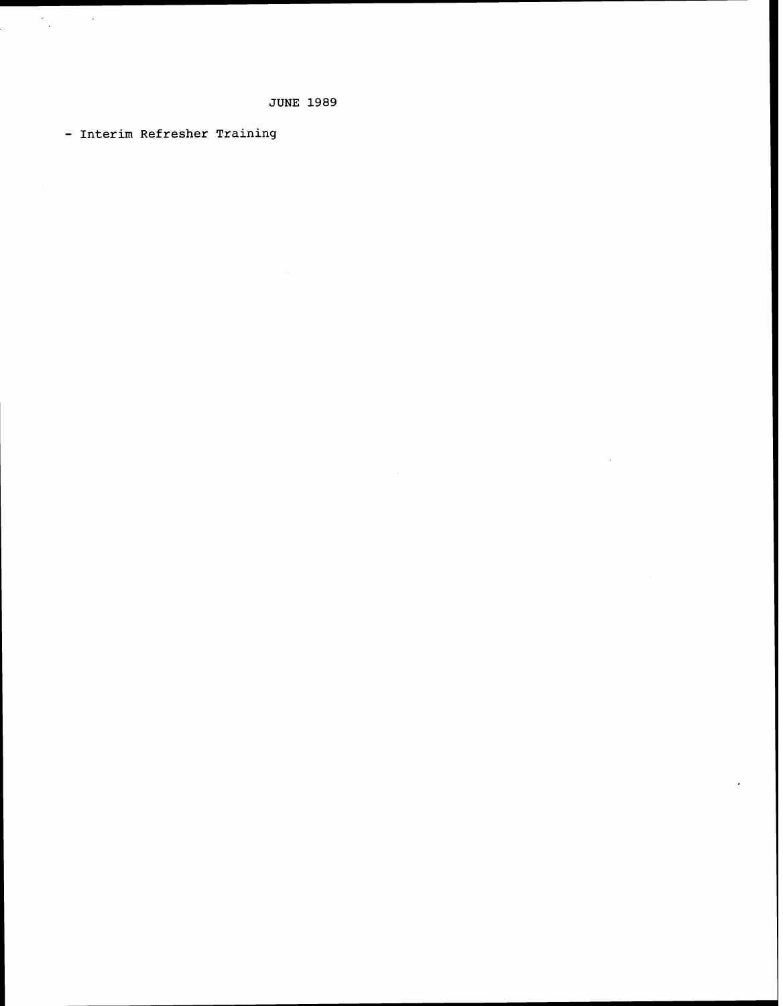- Interim Refresher Training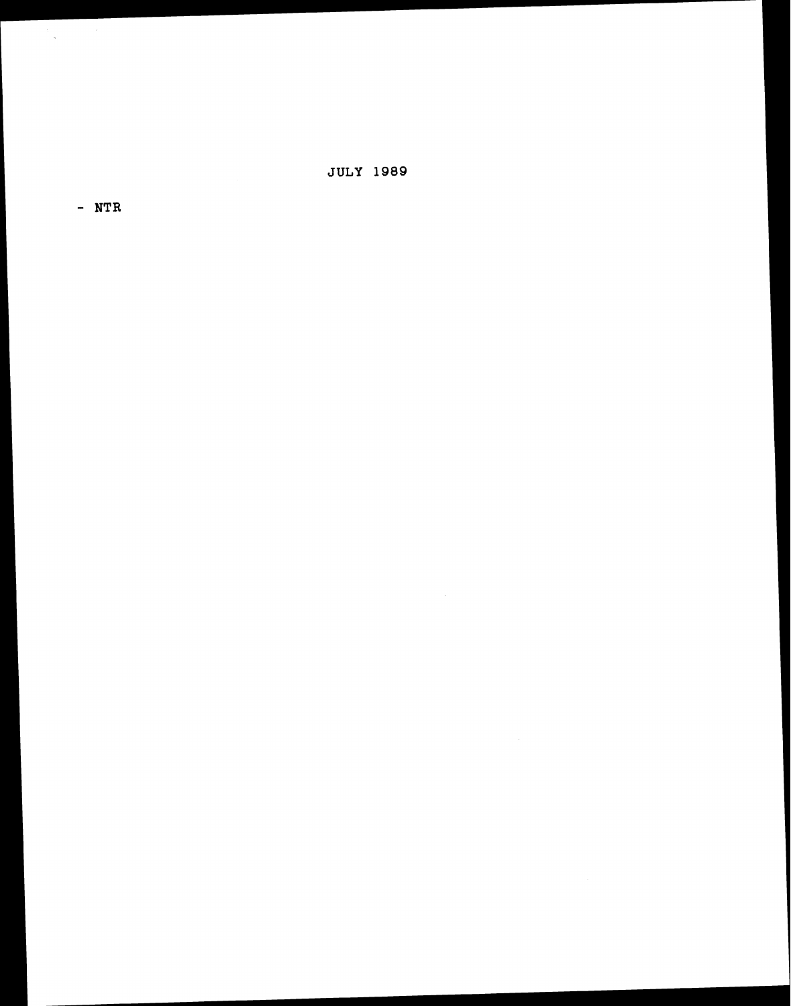**JULY 1989** 

- **NTR** 

 $\label{eq:2.1} \frac{d\mathbf{x}}{d\mathbf{x}} = \frac{1}{2} \left( \frac{d\mathbf{x}}{d\mathbf{x}} + \frac{d\mathbf{x}}{d\mathbf{x}} \right)$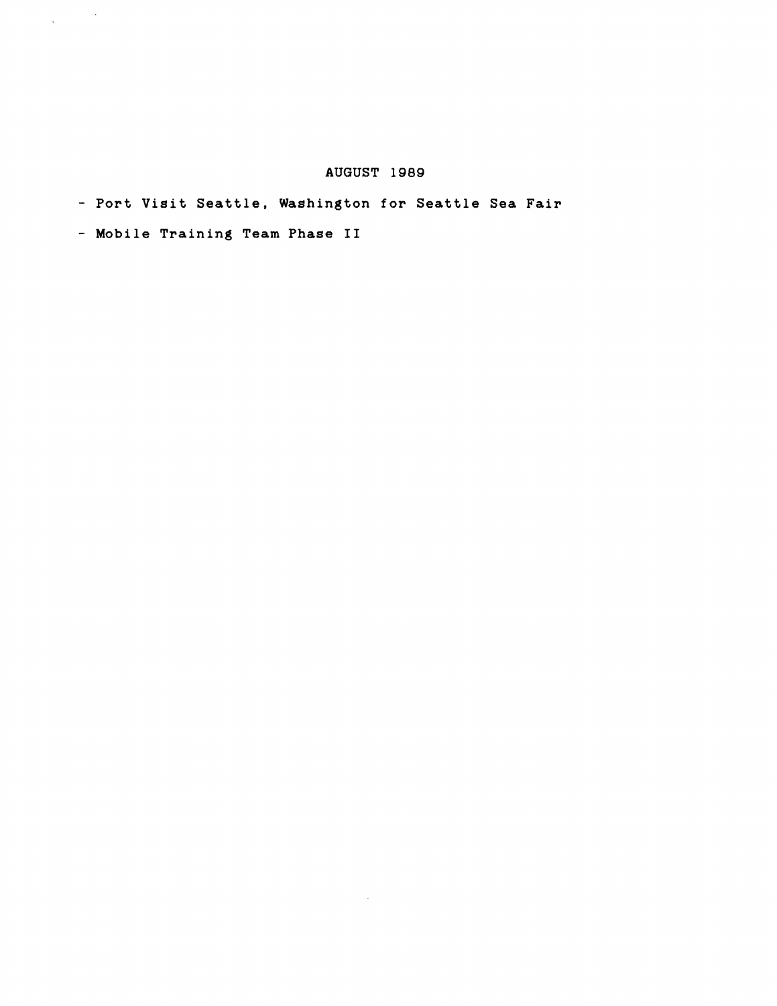## **AUGUST 1989**

 $\sim$   $\sim$ 

- **Port Visit Seattle, Washington for Seattle Sea Fair** 

- **Mobile Training Team Phase I1** 

 $\label{eq:1} \frac{1}{\sqrt{2}}\int_{\mathbb{R}^{2}}\frac{1}{\sqrt{2}}\left(\frac{1}{\sqrt{2}}\right)^{2}d\mu_{\rm{max}}\left(\frac{1}{\sqrt{2}}\right).$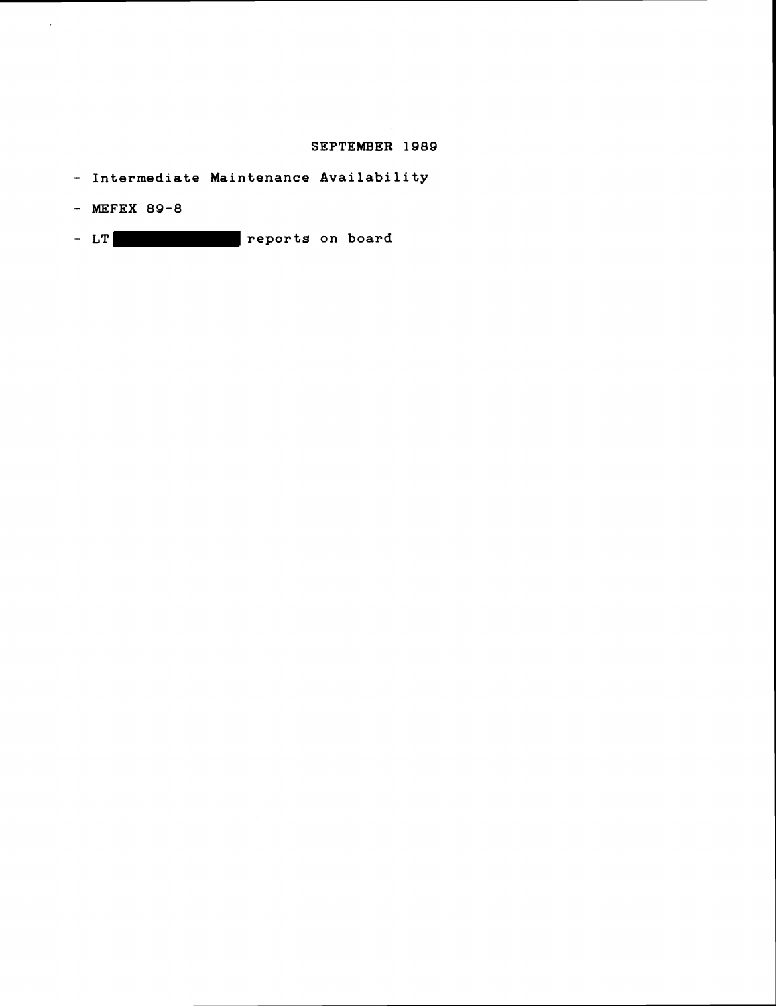#### **SEPTEMBER 1989**

- **Intermediate Maintenance Availability**
- **MEFEX 89-8**
- **LT reports on board**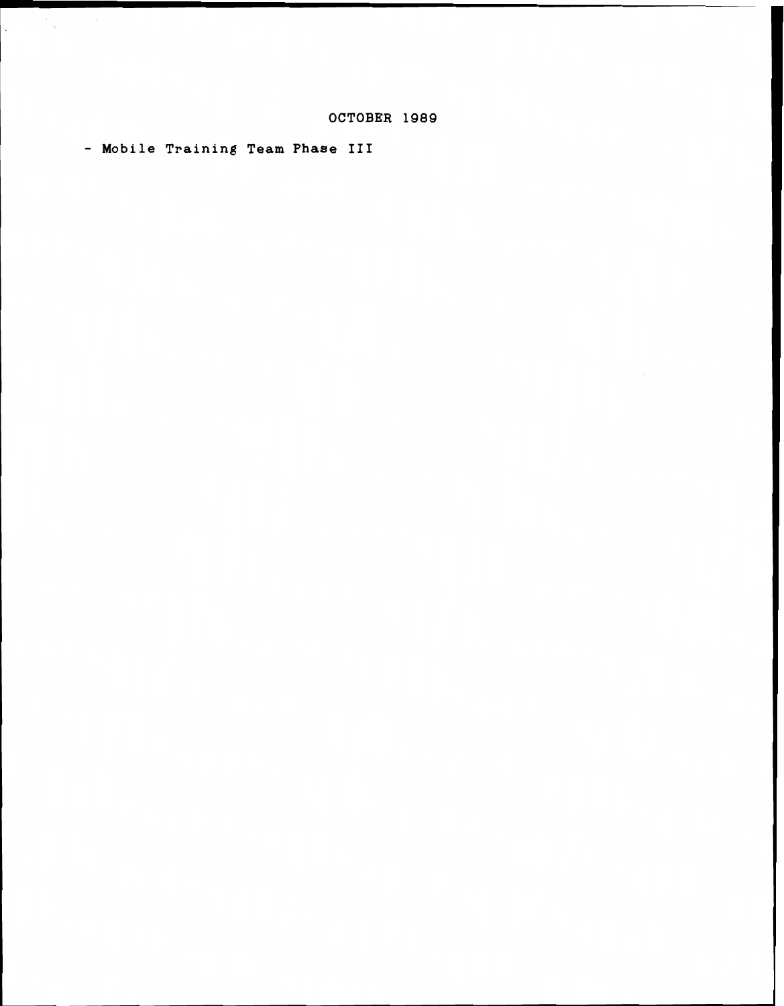- **Mobile Training Team Phase III** 

 $\cdot$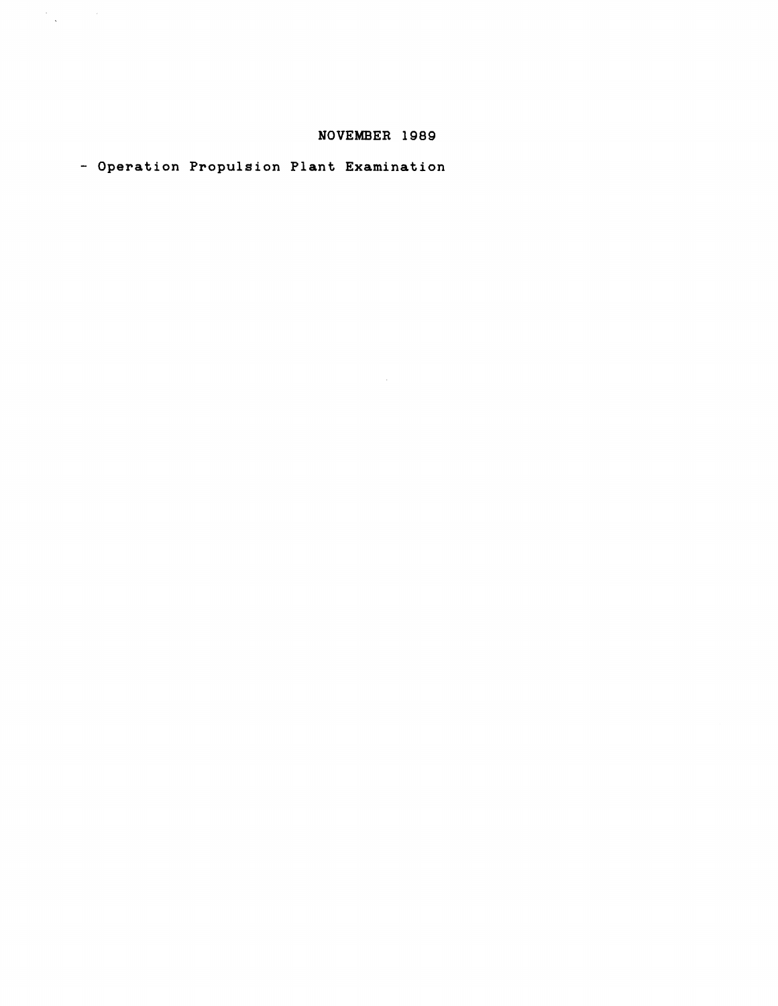## **NOVEMBER 1989**

- **Operation Propulsion Plant Examination** 

 $\label{eq:2.1} \frac{1}{\sqrt{2\pi}}\sum_{\substack{\alpha\in\mathbb{Z}^d\\ \alpha\in\mathbb{Z}^d}}\frac{1}{\sqrt{2\pi}}\sum_{\substack{\alpha\in\mathbb{Z}^d\\ \alpha\in\mathbb{Z}^d}}\frac{1}{\sqrt{2\pi}}\sum_{\substack{\alpha\in\mathbb{Z}^d\\ \alpha\in\mathbb{Z}^d}}\frac{1}{\sqrt{2\pi}}\sum_{\substack{\alpha\in\mathbb{Z}^d\\ \alpha\in\mathbb{Z}^d}}\frac{1}{\sqrt{2\pi}}\sum_{\substack{\alpha\in\mathbb{Z}^d\\ \alpha\in$